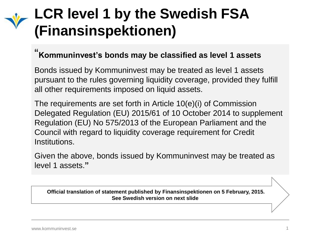# **LCR level 1 by the Swedish FSA (Finansinspektionen)**

# " **Kommuninvest's bonds may be classified as level 1 assets**

Bonds issued by Kommuninvest may be treated as level 1 assets pursuant to the rules governing liquidity coverage, provided they fulfill all other requirements imposed on liquid assets.

The requirements are set forth in Article 10(e)(i) of Commission Delegated Regulation (EU) 2015/61 of 10 October 2014 to supplement Regulation (EU) No 575/2013 of the European Parliament and the Council with regard to liquidity coverage requirement for Credit Institutions.

Given the above, bonds issued by Kommuninvest may be treated as level 1 assets.**"**

**Official translation of statement published by Finansinspektionen on 5 February, 2015. See Swedish version on next slide.**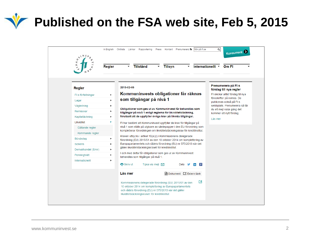**Published on the FSA web site, Feb 5, 2015** 

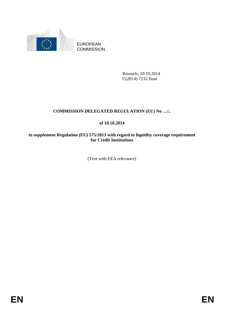

EUROPEAN **COMMISSION** 

> Brussels, 10.10.2014 C(2014) 7232 final

## **COMMISSION DELEGATED REGULATION (EU) No …/..**

## **of 10.10.2014**

#### **to supplement Regulation (EU) 575/2013 with regard to liquidity coverage requirement for Credit Institutions**

(Text with EEA relevance)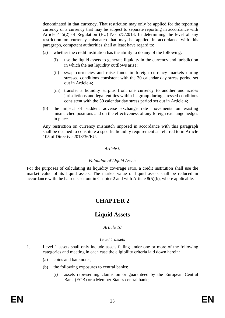denominated in that currency. That restriction may only be applied for the reporting currency or a currency that may be subject to separate reporting in accordance with Article 415(2) of Regulation (EU) No 575/2013. In determining the level of any restriction on currency mismatch that may be applied in accordance with this paragraph, competent authorities shall at least have regard to:

- (a) whether the credit institution has the ability to do any of the following:
	- (i) use the liquid assets to generate liquidity in the currency and jurisdiction in which the net liquidity outflows arise;
	- (ii) swap currencies and raise funds in foreign currency markets during stressed conditions consistent with the 30 calendar day stress period set out in Article 4;
	- (iii) transfer a liquidity surplus from one currency to another and across jurisdictions and legal entities within its group during stressed conditions consistent with the 30 calendar day stress period set out in Article 4;
- (b) the impact of sudden, adverse exchange rate movements on existing mismatched positions and on the effectiveness of any foreign exchange hedges in place.

Any restriction on currency mismatch imposed in accordance with this paragraph shall be deemed to constitute a specific liquidity requirement as referred to in Article 105 of Directive 2013/36/EU.

#### *Article 9*

#### *Valuation of Liquid Assets*

For the purposes of calculating its liquidity coverage ratio, a credit institution shall use the market value of its liquid assets. The market value of liquid assets shall be reduced in accordance with the haircuts set out in Chapter 2 and with Article 8(5)(b), where applicable.

# **CHAPTER 2**

# **Liquid Assets**

#### *Article 10*

#### *Level 1 assets*

- 1. Level 1 assets shall only include assets falling under one or more of the following categories and meeting in each case the eligibility criteria laid down herein:
	- (a) coins and banknotes;
	- (b) the following exposures to central banks:
		- (i) assets representing claims on or guaranteed by the European Central Bank (ECB) or a Member State's central bank;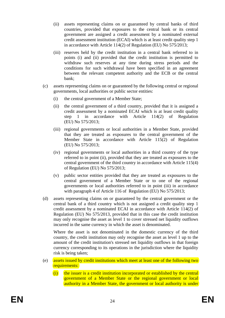- (ii) assets representing claims on or guaranteed by central banks of third countries, provided that exposures to the central bank or its central government are assigned a credit assessment by a nominated external credit assessment institution (ECAI) which is at least credit quality step 1 in accordance with Article 114(2) of Regulation (EU) No 575/2013;
- (iii) reserves held by the credit institution in a central bank referred to in points (i) and (ii) provided that the credit institution is permitted to withdraw such reserves at any time during stress periods and the conditions for such withdrawal have been specified in an agreement between the relevant competent authority and the ECB or the central bank;
- (c) assets representing claims on or guaranteed by the following central or regional governments, local authorities or public sector entities:
	- (i) the central government of a Member State;
	- (ii) the central government of a third country, provided that it is assigned a credit assessment by a nominated ECAI which is at least credit quality step 1 in accordance with Article 114(2) of Regulation (EU) No 575/2013;
	- (iii) regional governments or local authorities in a Member State, provided that they are treated as exposures to the central government of the Member State in accordance with Article 115(2) of Regulation (EU) No 575/2013;
	- (iv) regional governments or local authorities in a third country of the type referred to in point (ii), provided that they are treated as exposures to the central government of the third country in accordance with Article 115(4) of Regulation (EU) No 575/2013;
	- (v) public sector entities provided that they are treated as exposures to the central government of a Member State or to one of the regional governments or local authorities referred to in point (iii) in accordance with paragraph 4 of Article 116 of Regulation (EU) No 575/2013;
- (d) assets representing claims on or guaranteed by the central government or the central bank of a third country which is not assigned a credit quality step 1 credit assessment by a nominated ECAI in accordance with Article 114(2) of Regulation (EU) No 575/2013, provided that in this case the credit institution may only recognise the asset as level 1 to cover stressed net liquidity outflows incurred in the same currency in which the asset is denominated.

Where the asset is not denominated in the domestic currency of the third country, the credit institution may only recognise the asset as level 1 up to the amount of the credit institution's stressed net liquidity outflows in that foreign currency corresponding to its operations in the jurisdiction where the liquidity risk is being taken;

- (e) assets issued by credit institutions which meet at least one of the following two requirements:
	- (i) the issuer is a credit institution incorporated or established by the central government of a Member State or the regional government or local authority in a Member State, the government or local authority is under